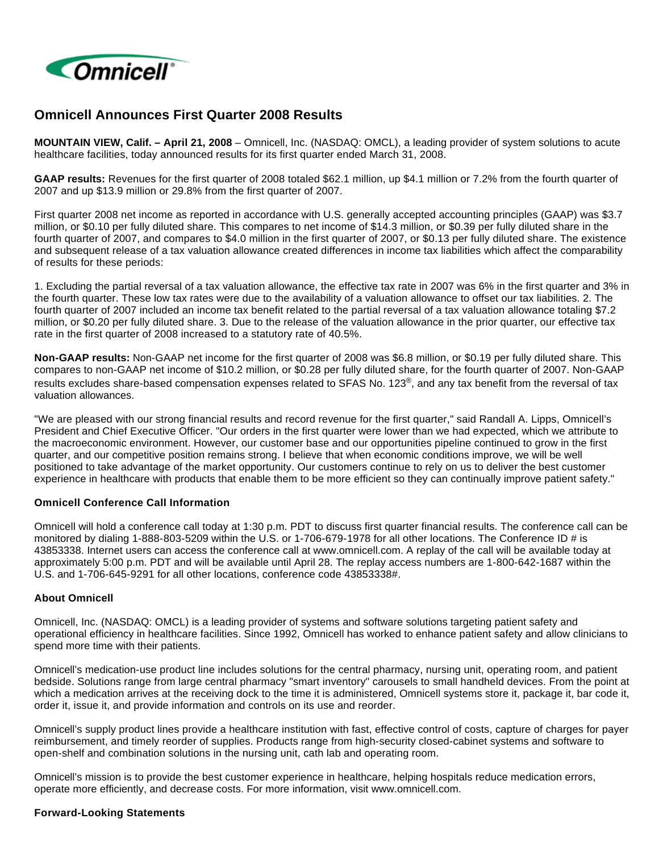

# **Omnicell Announces First Quarter 2008 Results**

**MOUNTAIN VIEW, Calif. – April 21, 2008** – Omnicell, Inc. (NASDAQ: OMCL), a leading provider of system solutions to acute healthcare facilities, today announced results for its first quarter ended March 31, 2008.

**GAAP results:** Revenues for the first quarter of 2008 totaled \$62.1 million, up \$4.1 million or 7.2% from the fourth quarter of 2007 and up \$13.9 million or 29.8% from the first quarter of 2007.

First quarter 2008 net income as reported in accordance with U.S. generally accepted accounting principles (GAAP) was \$3.7 million, or \$0.10 per fully diluted share. This compares to net income of \$14.3 million, or \$0.39 per fully diluted share in the fourth quarter of 2007, and compares to \$4.0 million in the first quarter of 2007, or \$0.13 per fully diluted share. The existence and subsequent release of a tax valuation allowance created differences in income tax liabilities which affect the comparability of results for these periods:

1. Excluding the partial reversal of a tax valuation allowance, the effective tax rate in 2007 was 6% in the first quarter and 3% in the fourth quarter. These low tax rates were due to the availability of a valuation allowance to offset our tax liabilities. 2. The fourth quarter of 2007 included an income tax benefit related to the partial reversal of a tax valuation allowance totaling \$7.2 million, or \$0.20 per fully diluted share. 3. Due to the release of the valuation allowance in the prior quarter, our effective tax rate in the first quarter of 2008 increased to a statutory rate of 40.5%.

**Non-GAAP results:** Non-GAAP net income for the first quarter of 2008 was \$6.8 million, or \$0.19 per fully diluted share. This compares to non-GAAP net income of \$10.2 million, or \$0.28 per fully diluted share, for the fourth quarter of 2007. Non-GAAP results excludes share-based compensation expenses related to SFAS No. 123<sup>®</sup>, and any tax benefit from the reversal of tax valuation allowances.

"We are pleased with our strong financial results and record revenue for the first quarter," said Randall A. Lipps, Omnicell's President and Chief Executive Officer. "Our orders in the first quarter were lower than we had expected, which we attribute to the macroeconomic environment. However, our customer base and our opportunities pipeline continued to grow in the first quarter, and our competitive position remains strong. I believe that when economic conditions improve, we will be well positioned to take advantage of the market opportunity. Our customers continue to rely on us to deliver the best customer experience in healthcare with products that enable them to be more efficient so they can continually improve patient safety."

#### **Omnicell Conference Call Information**

Omnicell will hold a conference call today at 1:30 p.m. PDT to discuss first quarter financial results. The conference call can be monitored by dialing 1-888-803-5209 within the U.S. or 1-706-679-1978 for all other locations. The Conference ID # is 43853338. Internet users can access the conference call at www.omnicell.com. A replay of the call will be available today at approximately 5:00 p.m. PDT and will be available until April 28. The replay access numbers are 1-800-642-1687 within the U.S. and 1-706-645-9291 for all other locations, conference code 43853338#.

## **About Omnicell**

Omnicell, Inc. (NASDAQ: OMCL) is a leading provider of systems and software solutions targeting patient safety and operational efficiency in healthcare facilities. Since 1992, Omnicell has worked to enhance patient safety and allow clinicians to spend more time with their patients.

Omnicell's medication-use product line includes solutions for the central pharmacy, nursing unit, operating room, and patient bedside. Solutions range from large central pharmacy "smart inventory" carousels to small handheld devices. From the point at which a medication arrives at the receiving dock to the time it is administered, Omnicell systems store it, package it, bar code it, order it, issue it, and provide information and controls on its use and reorder.

Omnicell's supply product lines provide a healthcare institution with fast, effective control of costs, capture of charges for payer reimbursement, and timely reorder of supplies. Products range from high-security closed-cabinet systems and software to open-shelf and combination solutions in the nursing unit, cath lab and operating room.

Omnicell's mission is to provide the best customer experience in healthcare, helping hospitals reduce medication errors, operate more efficiently, and decrease costs. For more information, visit www.omnicell.com.

## **Forward-Looking Statements**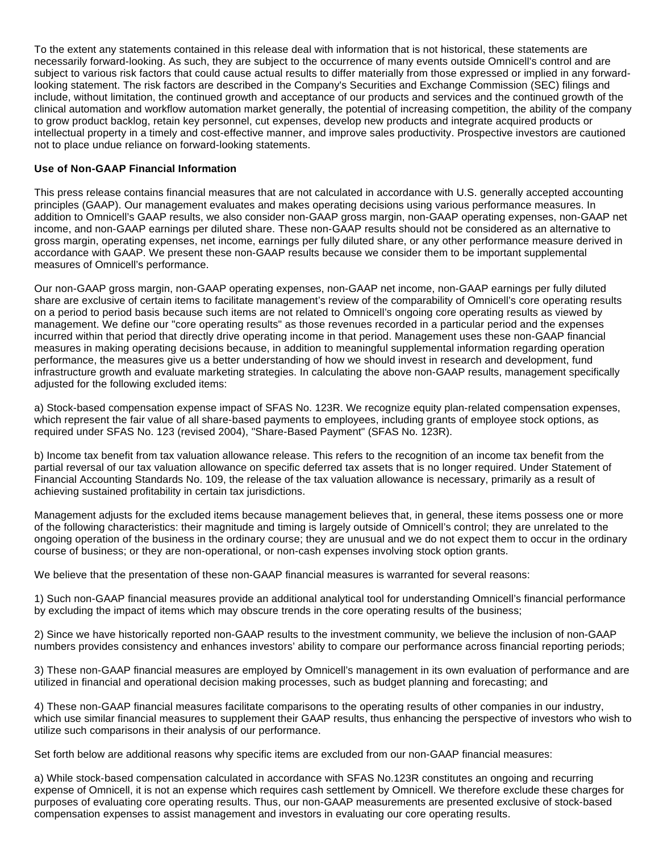To the extent any statements contained in this release deal with information that is not historical, these statements are necessarily forward-looking. As such, they are subject to the occurrence of many events outside Omnicell's control and are subject to various risk factors that could cause actual results to differ materially from those expressed or implied in any forwardlooking statement. The risk factors are described in the Company's Securities and Exchange Commission (SEC) filings and include, without limitation, the continued growth and acceptance of our products and services and the continued growth of the clinical automation and workflow automation market generally, the potential of increasing competition, the ability of the company to grow product backlog, retain key personnel, cut expenses, develop new products and integrate acquired products or intellectual property in a timely and cost-effective manner, and improve sales productivity. Prospective investors are cautioned not to place undue reliance on forward-looking statements.

#### **Use of Non-GAAP Financial Information**

This press release contains financial measures that are not calculated in accordance with U.S. generally accepted accounting principles (GAAP). Our management evaluates and makes operating decisions using various performance measures. In addition to Omnicell's GAAP results, we also consider non-GAAP gross margin, non-GAAP operating expenses, non-GAAP net income, and non-GAAP earnings per diluted share. These non-GAAP results should not be considered as an alternative to gross margin, operating expenses, net income, earnings per fully diluted share, or any other performance measure derived in accordance with GAAP. We present these non-GAAP results because we consider them to be important supplemental measures of Omnicell's performance.

Our non-GAAP gross margin, non-GAAP operating expenses, non-GAAP net income, non-GAAP earnings per fully diluted share are exclusive of certain items to facilitate management's review of the comparability of Omnicell's core operating results on a period to period basis because such items are not related to Omnicell's ongoing core operating results as viewed by management. We define our "core operating results" as those revenues recorded in a particular period and the expenses incurred within that period that directly drive operating income in that period. Management uses these non-GAAP financial measures in making operating decisions because, in addition to meaningful supplemental information regarding operation performance, the measures give us a better understanding of how we should invest in research and development, fund infrastructure growth and evaluate marketing strategies. In calculating the above non-GAAP results, management specifically adjusted for the following excluded items:

a) Stock-based compensation expense impact of SFAS No. 123R. We recognize equity plan-related compensation expenses, which represent the fair value of all share-based payments to employees, including grants of employee stock options, as required under SFAS No. 123 (revised 2004), "Share-Based Payment" (SFAS No. 123R).

b) Income tax benefit from tax valuation allowance release. This refers to the recognition of an income tax benefit from the partial reversal of our tax valuation allowance on specific deferred tax assets that is no longer required. Under Statement of Financial Accounting Standards No. 109, the release of the tax valuation allowance is necessary, primarily as a result of achieving sustained profitability in certain tax jurisdictions.

Management adjusts for the excluded items because management believes that, in general, these items possess one or more of the following characteristics: their magnitude and timing is largely outside of Omnicell's control; they are unrelated to the ongoing operation of the business in the ordinary course; they are unusual and we do not expect them to occur in the ordinary course of business; or they are non-operational, or non-cash expenses involving stock option grants.

We believe that the presentation of these non-GAAP financial measures is warranted for several reasons:

1) Such non-GAAP financial measures provide an additional analytical tool for understanding Omnicell's financial performance by excluding the impact of items which may obscure trends in the core operating results of the business;

2) Since we have historically reported non-GAAP results to the investment community, we believe the inclusion of non-GAAP numbers provides consistency and enhances investors' ability to compare our performance across financial reporting periods;

3) These non-GAAP financial measures are employed by Omnicell's management in its own evaluation of performance and are utilized in financial and operational decision making processes, such as budget planning and forecasting; and

4) These non-GAAP financial measures facilitate comparisons to the operating results of other companies in our industry, which use similar financial measures to supplement their GAAP results, thus enhancing the perspective of investors who wish to utilize such comparisons in their analysis of our performance.

Set forth below are additional reasons why specific items are excluded from our non-GAAP financial measures:

a) While stock-based compensation calculated in accordance with SFAS No.123R constitutes an ongoing and recurring expense of Omnicell, it is not an expense which requires cash settlement by Omnicell. We therefore exclude these charges for purposes of evaluating core operating results. Thus, our non-GAAP measurements are presented exclusive of stock-based compensation expenses to assist management and investors in evaluating our core operating results.